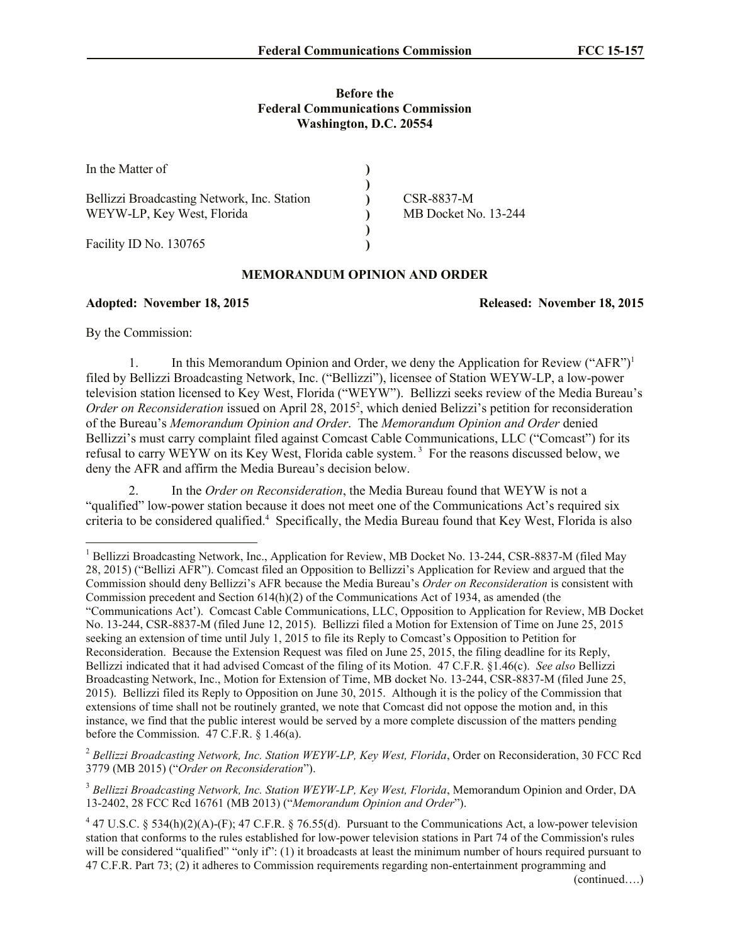## **Before the Federal Communications Commission Washington, D.C. 20554**

| In the Matter of                            |                      |
|---------------------------------------------|----------------------|
| Bellizzi Broadcasting Network, Inc. Station | CSR-8837-M           |
| WEYW-LP, Key West, Florida                  | MB Docket No. 13-244 |
| Facility ID No. 130765                      |                      |

## **MEMORANDUM OPINION AND ORDER**

## **Adopted: November 18, 2015 Released: November 18, 2015**

By the Commission:

l

1. In this Memorandum Opinion and Order, we deny the Application for Review ("AFR")<sup>1</sup> filed by Bellizzi Broadcasting Network, Inc. ("Bellizzi"), licensee of Station WEYW-LP, a low-power television station licensed to Key West, Florida ("WEYW"). Bellizzi seeks review of the Media Bureau's Order on Reconsideration issued on April 28, 2015<sup>2</sup>, which denied Belizzi's petition for reconsideration of the Bureau's *Memorandum Opinion and Order*. The *Memorandum Opinion and Order* denied Bellizzi's must carry complaint filed against Comcast Cable Communications, LLC ("Comcast") for its refusal to carry WEYW on its Key West, Florida cable system.<sup>3</sup> For the reasons discussed below, we deny the AFR and affirm the Media Bureau's decision below.

2. In the *Order on Reconsideration*, the Media Bureau found that WEYW is not a "qualified" low-power station because it does not meet one of the Communications Act's required six criteria to be considered qualified.<sup>4</sup> Specifically, the Media Bureau found that Key West, Florida is also

<sup>&</sup>lt;sup>1</sup> Bellizzi Broadcasting Network, Inc., Application for Review, MB Docket No. 13-244, CSR-8837-M (filed May 28, 2015) ("Bellizi AFR"). Comcast filed an Opposition to Bellizzi's Application for Review and argued that the Commission should deny Bellizzi's AFR because the Media Bureau's *Order on Reconsideration* is consistent with Commission precedent and Section 614(h)(2) of the Communications Act of 1934, as amended (the "Communications Act'). Comcast Cable Communications, LLC, Opposition to Application for Review, MB Docket No. 13-244, CSR-8837-M (filed June 12, 2015). Bellizzi filed a Motion for Extension of Time on June 25, 2015 seeking an extension of time until July 1, 2015 to file its Reply to Comcast's Opposition to Petition for Reconsideration. Because the Extension Request was filed on June 25, 2015, the filing deadline for its Reply, Bellizzi indicated that it had advised Comcast of the filing of its Motion. 47 C.F.R. §1.46(c). *See also* Bellizzi Broadcasting Network, Inc., Motion for Extension of Time, MB docket No. 13-244, CSR-8837-M (filed June 25, 2015). Bellizzi filed its Reply to Opposition on June 30, 2015. Although it is the policy of the Commission that extensions of time shall not be routinely granted, we note that Comcast did not oppose the motion and, in this instance, we find that the public interest would be served by a more complete discussion of the matters pending before the Commission. 47 C.F.R. § 1.46(a).

<sup>&</sup>lt;sup>2</sup> Bellizzi Broadcasting Network, Inc. Station WEYW-LP, Key West, Florida, Order on Reconsideration, 30 FCC Rcd 3779 (MB 2015) ("*Order on Reconsideration*").

<sup>&</sup>lt;sup>3</sup> Bellizzi Broadcasting Network, Inc. Station WEYW-LP, Key West, Florida, Memorandum Opinion and Order, DA 13-2402, 28 FCC Rcd 16761 (MB 2013) ("*Memorandum Opinion and Order*").

 $4$  47 U.S.C. § 534(h)(2)(A)-(F); 47 C.F.R. § 76.55(d). Pursuant to the Communications Act, a low-power television station that conforms to the rules established for low-power television stations in Part 74 of the Commission's rules will be considered "qualified" "only if": (1) it broadcasts at least the minimum number of hours required pursuant to 47 C.F.R. Part 73; (2) it adheres to Commission requirements regarding non-entertainment programming and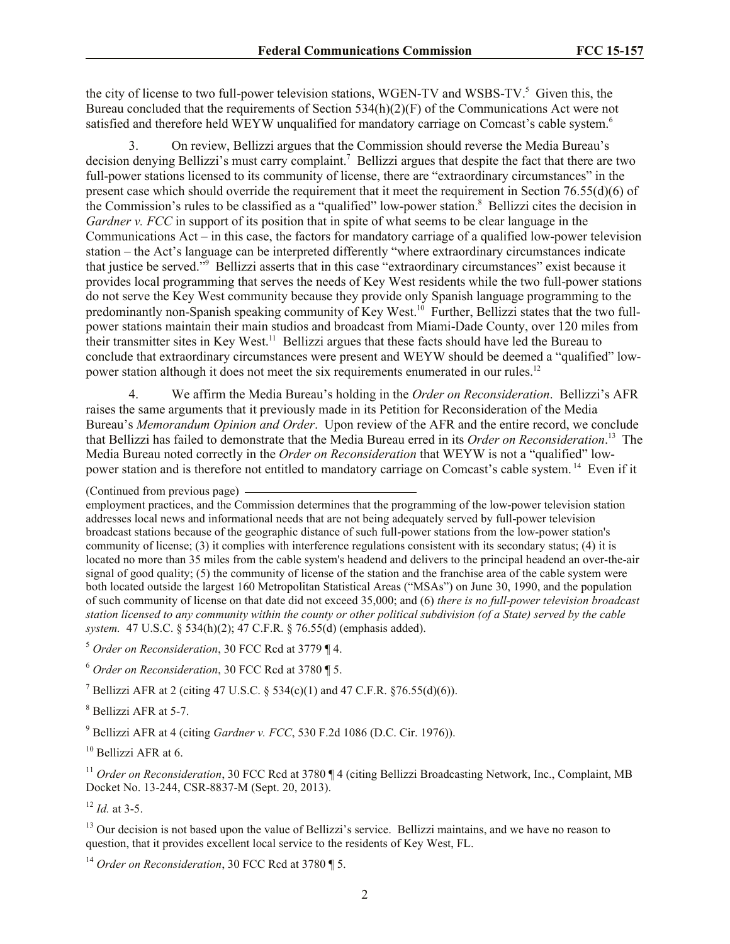the city of license to two full-power television stations, WGEN-TV and WSBS-TV. 5 Given this, the Bureau concluded that the requirements of Section 534(h)(2)(F) of the Communications Act were not satisfied and therefore held WEYW unqualified for mandatory carriage on Comcast's cable system.<sup>6</sup>

3. On review, Bellizzi argues that the Commission should reverse the Media Bureau's decision denying Bellizzi's must carry complaint.<sup>7</sup> Bellizzi argues that despite the fact that there are two full-power stations licensed to its community of license, there are "extraordinary circumstances" in the present case which should override the requirement that it meet the requirement in Section 76.55(d)(6) of the Commission's rules to be classified as a "qualified" low-power station.<sup>8</sup> Bellizzi cites the decision in *Gardner v. FCC* in support of its position that in spite of what seems to be clear language in the Communications Act – in this case, the factors for mandatory carriage of a qualified low-power television station – the Act's language can be interpreted differently "where extraordinary circumstances indicate that justice be served."<sup>9</sup> Bellizzi asserts that in this case "extraordinary circumstances" exist because it provides local programming that serves the needs of Key West residents while the two full-power stations do not serve the Key West community because they provide only Spanish language programming to the predominantly non-Spanish speaking community of Key West.<sup>10</sup> Further, Bellizzi states that the two fullpower stations maintain their main studios and broadcast from Miami-Dade County, over 120 miles from their transmitter sites in Key West.<sup>11</sup> Bellizzi argues that these facts should have led the Bureau to conclude that extraordinary circumstances were present and WEYW should be deemed a "qualified" lowpower station although it does not meet the six requirements enumerated in our rules.<sup>12</sup>

4. We affirm the Media Bureau's holding in the *Order on Reconsideration*. Bellizzi's AFR raises the same arguments that it previously made in its Petition for Reconsideration of the Media Bureau's *Memorandum Opinion and Order*. Upon review of the AFR and the entire record, we conclude that Bellizzi has failed to demonstrate that the Media Bureau erred in its *Order on Reconsideration*. 13 The Media Bureau noted correctly in the *Order on Reconsideration* that WEYW is not a "qualified" lowpower station and is therefore not entitled to mandatory carriage on Comcast's cable system.<sup>14</sup> Even if it

(Continued from previous page)

employment practices, and the Commission determines that the programming of the low-power television station addresses local news and informational needs that are not being adequately served by full-power television broadcast stations because of the geographic distance of such full-power stations from the low-power station's community of license; (3) it complies with interference regulations consistent with its secondary status; (4) it is located no more than 35 miles from the cable system's headend and delivers to the principal headend an over-the-air signal of good quality; (5) the community of license of the station and the franchise area of the cable system were both located outside the largest 160 Metropolitan Statistical Areas ("MSAs") on June 30, 1990, and the population of such community of license on that date did not exceed 35,000; and (6) *there is no full-power television broadcast station licensed to any community within the county or other political subdivision (of a State) served by the cable system.* 47 U.S.C. § 534(h)(2); 47 C.F.R. § 76.55(d) (emphasis added).

<sup>5</sup> *Order on Reconsideration*, 30 FCC Rcd at 3779 ¶ 4.

<sup>6</sup> *Order on Reconsideration*, 30 FCC Rcd at 3780 ¶ 5.

<sup>7</sup> Bellizzi AFR at 2 (citing 47 U.S.C. § 534(c)(1) and 47 C.F.R. §76.55(d)(6)).

<sup>8</sup> Bellizzi AFR at 5-7.

<sup>9</sup> Bellizzi AFR at 4 (citing *Gardner v. FCC*, 530 F.2d 1086 (D.C. Cir. 1976)).

<sup>10</sup> Bellizzi AFR at 6.

<sup>11</sup> Order on Reconsideration, 30 FCC Rcd at 3780 ¶ 4 (citing Bellizzi Broadcasting Network, Inc., Complaint, MB Docket No. 13-244, CSR-8837-M (Sept. 20, 2013).

<sup>12</sup> *Id.* at 3-5.

<sup>13</sup> Our decision is not based upon the value of Bellizzi's service. Bellizzi maintains, and we have no reason to question, that it provides excellent local service to the residents of Key West, FL.

<sup>14</sup> *Order on Reconsideration*, 30 FCC Rcd at 3780 ¶ 5.